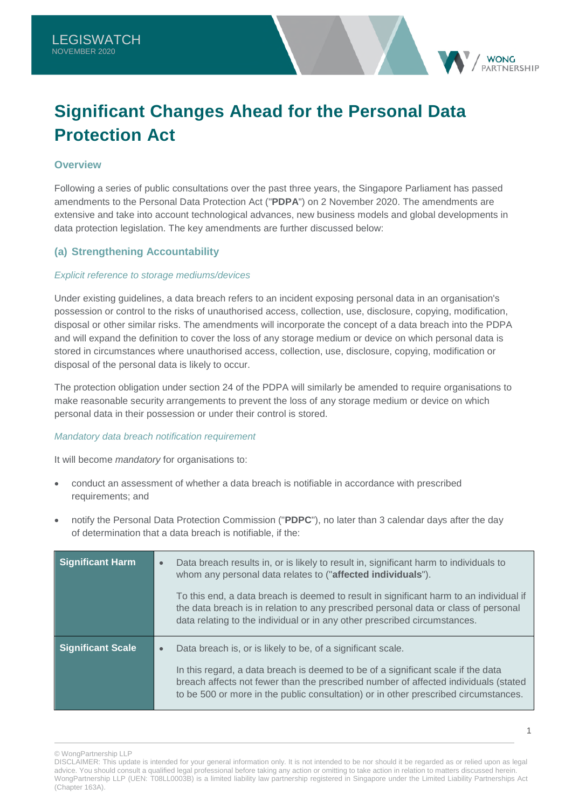# **Significant Changes Ahead for the Personal Data Protection Act**

## **Overview**

Following a series of public consultations over the past three years, the Singapore Parliament has passed amendments to the Personal Data Protection Act ("**PDPA**") on 2 November 2020. The amendments are extensive and take into account technological advances, new business models and global developments in data protection legislation. The key amendments are further discussed below:

# **(a) Strengthening Accountability**

## *Explicit reference to storage mediums/devices*

Under existing guidelines, a data breach refers to an incident exposing personal data in an organisation's possession or control to the risks of unauthorised access, collection, use, disclosure, copying, modification, disposal or other similar risks. The amendments will incorporate the concept of a data breach into the PDPA and will expand the definition to cover the loss of any storage medium or device on which personal data is stored in circumstances where unauthorised access, collection, use, disclosure, copying, modification or disposal of the personal data is likely to occur.

The protection obligation under section 24 of the PDPA will similarly be amended to require organisations to make reasonable security arrangements to prevent the loss of any storage medium or device on which personal data in their possession or under their control is stored.

#### *Mandatory data breach notification requirement*

It will become *mandatory* for organisations to:

- conduct an assessment of whether a data breach is notifiable in accordance with prescribed requirements; and
- notify the Personal Data Protection Commission ("**PDPC**"), no later than 3 calendar days after the day of determination that a data breach is notifiable, if the:

| Significant Harm         | $\bullet$ | Data breach results in, or is likely to result in, significant harm to individuals to<br>whom any personal data relates to ("affected individuals").<br>To this end, a data breach is deemed to result in significant harm to an individual if<br>the data breach is in relation to any prescribed personal data or class of personal<br>data relating to the individual or in any other prescribed circumstances. |
|--------------------------|-----------|--------------------------------------------------------------------------------------------------------------------------------------------------------------------------------------------------------------------------------------------------------------------------------------------------------------------------------------------------------------------------------------------------------------------|
| <b>Significant Scale</b> | $\bullet$ | Data breach is, or is likely to be, of a significant scale.<br>In this regard, a data breach is deemed to be of a significant scale if the data<br>breach affects not fewer than the prescribed number of affected individuals (stated<br>to be 500 or more in the public consultation) or in other prescribed circumstances.                                                                                      |

**WONG** PARTNERSHIP

<sup>©</sup> WongPartnership LLP

DISCLAIMER: This update is intended for your general information only. It is not intended to be nor should it be regarded as or relied upon as legal advice. You should consult a qualified legal professional before taking any action or omitting to take action in relation to matters discussed herein. WongPartnership LLP (UEN: T08LL0003B) is a limited liability law partnership registered in Singapore under the Limited Liability Partnerships Act (Chapter 163A).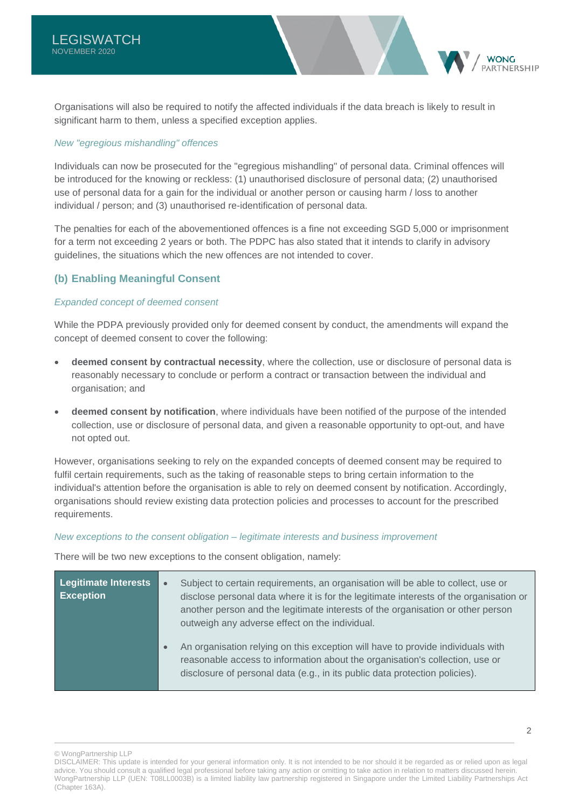Organisations will also be required to notify the affected individuals if the data breach is likely to result in significant harm to them, unless a specified exception applies.

## *New "egregious mishandling" offences*

Individuals can now be prosecuted for the "egregious mishandling" of personal data. Criminal offences will be introduced for the knowing or reckless: (1) unauthorised disclosure of personal data; (2) unauthorised use of personal data for a gain for the individual or another person or causing harm / loss to another individual / person; and (3) unauthorised re-identification of personal data.

The penalties for each of the abovementioned offences is a fine not exceeding SGD 5,000 or imprisonment for a term not exceeding 2 years or both. The PDPC has also stated that it intends to clarify in advisory guidelines, the situations which the new offences are not intended to cover.

# **(b) Enabling Meaningful Consent**

## *Expanded concept of deemed consent*

While the PDPA previously provided only for deemed consent by conduct, the amendments will expand the concept of deemed consent to cover the following:

- **deemed consent by contractual necessity**, where the collection, use or disclosure of personal data is reasonably necessary to conclude or perform a contract or transaction between the individual and organisation; and
- **deemed consent by notification**, where individuals have been notified of the purpose of the intended collection, use or disclosure of personal data, and given a reasonable opportunity to opt-out, and have not opted out.

However, organisations seeking to rely on the expanded concepts of deemed consent may be required to fulfil certain requirements, such as the taking of reasonable steps to bring certain information to the individual's attention before the organisation is able to rely on deemed consent by notification. Accordingly, organisations should review existing data protection policies and processes to account for the prescribed requirements.

#### *New exceptions to the consent obligation – legitimate interests and business improvement*

There will be two new exceptions to the consent obligation, namely:

| Legitimate Interests<br><b>Exception</b> | Subject to certain requirements, an organisation will be able to collect, use or<br>$\bullet$<br>disclose personal data where it is for the legitimate interests of the organisation or<br>another person and the legitimate interests of the organisation or other person<br>outweigh any adverse effect on the individual. |
|------------------------------------------|------------------------------------------------------------------------------------------------------------------------------------------------------------------------------------------------------------------------------------------------------------------------------------------------------------------------------|
|                                          | An organisation relying on this exception will have to provide individuals with<br>$\bullet$<br>reasonable access to information about the organisation's collection, use or<br>disclosure of personal data (e.g., in its public data protection policies).                                                                  |

**WONG** PARTNERSHIP

<sup>©</sup> WongPartnership LLP

DISCLAIMER: This update is intended for your general information only. It is not intended to be nor should it be regarded as or relied upon as legal advice. You should consult a qualified legal professional before taking any action or omitting to take action in relation to matters discussed herein. WongPartnership LLP (UEN: T08LL0003B) is a limited liability law partnership registered in Singapore under the Limited Liability Partnerships Act (Chapter 163A).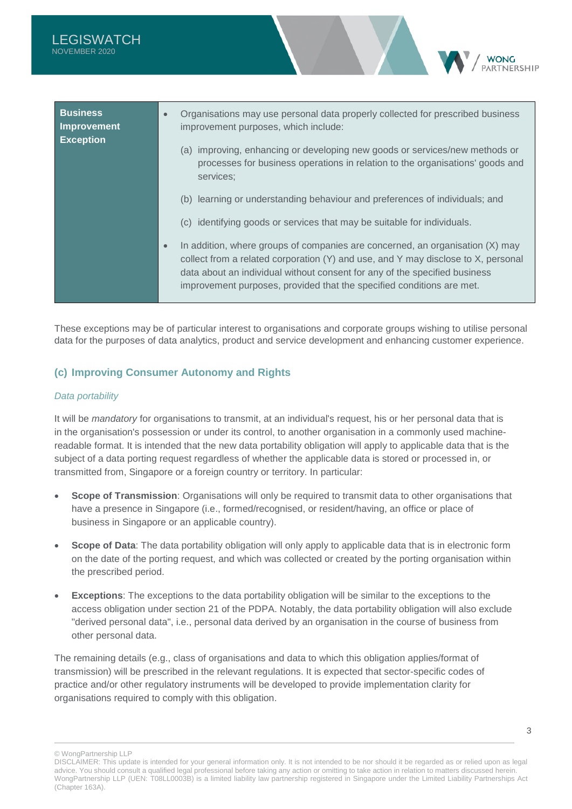| <b>Business</b><br><b>Improvement</b><br><b>Exception</b> | Organisations may use personal data properly collected for prescribed business<br>$\bullet$<br>improvement purposes, which include:<br>(a) improving, enhancing or developing new goods or services/new methods or<br>processes for business operations in relation to the organisations' goods and                                                                                                                                                                                                             |
|-----------------------------------------------------------|-----------------------------------------------------------------------------------------------------------------------------------------------------------------------------------------------------------------------------------------------------------------------------------------------------------------------------------------------------------------------------------------------------------------------------------------------------------------------------------------------------------------|
|                                                           | services;<br>(b) learning or understanding behaviour and preferences of individuals; and<br>(c) identifying goods or services that may be suitable for individuals.<br>In addition, where groups of companies are concerned, an organisation $(X)$ may<br>$\bullet$<br>collect from a related corporation (Y) and use, and Y may disclose to X, personal<br>data about an individual without consent for any of the specified business<br>improvement purposes, provided that the specified conditions are met. |

These exceptions may be of particular interest to organisations and corporate groups wishing to utilise personal data for the purposes of data analytics, product and service development and enhancing customer experience.

# **(c) Improving Consumer Autonomy and Rights**

## *Data portability*

It will be *mandatory* for organisations to transmit, at an individual's request, his or her personal data that is in the organisation's possession or under its control, to another organisation in a commonly used machinereadable format. It is intended that the new data portability obligation will apply to applicable data that is the subject of a data porting request regardless of whether the applicable data is stored or processed in, or transmitted from, Singapore or a foreign country or territory. In particular:

- **Scope of Transmission**: Organisations will only be required to transmit data to other organisations that have a presence in Singapore (i.e., formed/recognised, or resident/having, an office or place of business in Singapore or an applicable country).
- **Scope of Data**: The data portability obligation will only apply to applicable data that is in electronic form on the date of the porting request, and which was collected or created by the porting organisation within the prescribed period.
- **Exceptions**: The exceptions to the data portability obligation will be similar to the exceptions to the access obligation under section 21 of the PDPA. Notably, the data portability obligation will also exclude "derived personal data", i.e., personal data derived by an organisation in the course of business from other personal data.

The remaining details (e.g., class of organisations and data to which this obligation applies/format of transmission) will be prescribed in the relevant regulations. It is expected that sector-specific codes of practice and/or other regulatory instruments will be developed to provide implementation clarity for organisations required to comply with this obligation.

**WONG** ARTNERSHIP

<sup>©</sup> WongPartnership LLP

DISCLAIMER: This update is intended for your general information only. It is not intended to be nor should it be regarded as or relied upon as legal advice. You should consult a qualified legal professional before taking any action or omitting to take action in relation to matters discussed herein. WongPartnership LLP (UEN: T08LL0003B) is a limited liability law partnership registered in Singapore under the Limited Liability Partnerships Act (Chapter 163A).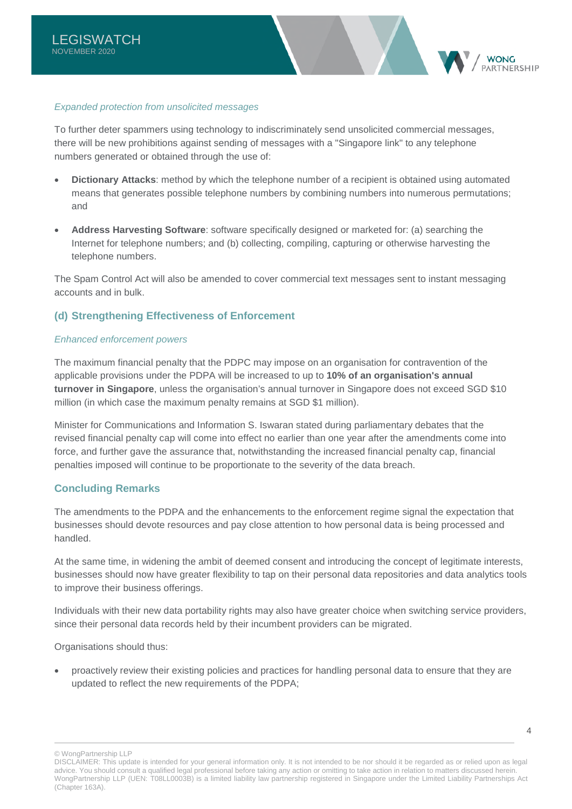

To further deter spammers using technology to indiscriminately send unsolicited commercial messages, there will be new prohibitions against sending of messages with a "Singapore link" to any telephone numbers generated or obtained through the use of:

- **Dictionary Attacks**: method by which the telephone number of a recipient is obtained using automated means that generates possible telephone numbers by combining numbers into numerous permutations; and
- **Address Harvesting Software**: software specifically designed or marketed for: (a) searching the Internet for telephone numbers; and (b) collecting, compiling, capturing or otherwise harvesting the telephone numbers.

The Spam Control Act will also be amended to cover commercial text messages sent to instant messaging accounts and in bulk.

# **(d) Strengthening Effectiveness of Enforcement**

## *Enhanced enforcement powers*

The maximum financial penalty that the PDPC may impose on an organisation for contravention of the applicable provisions under the PDPA will be increased to up to **10% of an organisation's annual turnover in Singapore**, unless the organisation's annual turnover in Singapore does not exceed SGD \$10 million (in which case the maximum penalty remains at SGD \$1 million).

Minister for Communications and Information S. Iswaran stated during parliamentary debates that the revised financial penalty cap will come into effect no earlier than one year after the amendments come into force, and further gave the assurance that, notwithstanding the increased financial penalty cap, financial penalties imposed will continue to be proportionate to the severity of the data breach.

## **Concluding Remarks**

The amendments to the PDPA and the enhancements to the enforcement regime signal the expectation that businesses should devote resources and pay close attention to how personal data is being processed and handled.

At the same time, in widening the ambit of deemed consent and introducing the concept of legitimate interests, businesses should now have greater flexibility to tap on their personal data repositories and data analytics tools to improve their business offerings.

Individuals with their new data portability rights may also have greater choice when switching service providers, since their personal data records held by their incumbent providers can be migrated.

Organisations should thus:

 proactively review their existing policies and practices for handling personal data to ensure that they are updated to reflect the new requirements of the PDPA;

© WongPartnership LLP

4

**WONG** 

DISCLAIMER: This update is intended for your general information only. It is not intended to be nor should it be regarded as or relied upon as legal advice. You should consult a qualified legal professional before taking any action or omitting to take action in relation to matters discussed herein. WongPartnership LLP (UEN: T08LL0003B) is a limited liability law partnership registered in Singapore under the Limited Liability Partnerships Act (Chapter 163A).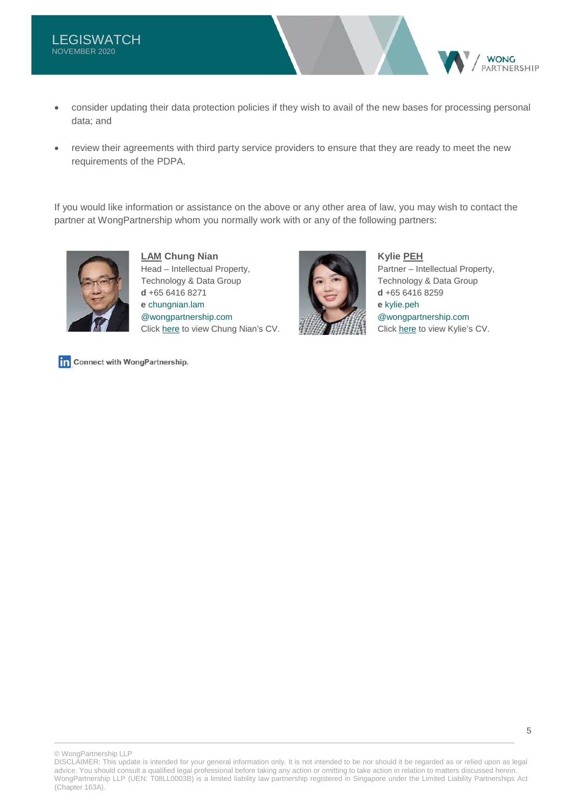- consider updating their data protection policies if they wish to avail of the new bases for processing personal data; and
- review their agreements with third party service providers to ensure that they are ready to meet the new requirements of the PDPA.

If you would like information or assistance on the above or any other area of law, you may wish to contact the partner at WongPartnership whom you normally work with or any of the following partners:



**LAM Chung Nian** Head – Intellectual Property, Technology & Data Group **d** +65 6416 8271 **e** [chungnian.lam](mailto:chungnian.lam@wongpartnership.com)  [@wongpartnership.com](mailto:chungnian.lam@wongpartnership.com) Click [here](https://www.wongpartnership.com/people/detail/lam-chung-nian) to view Chung Nian's CV.



**Kylie PEH**

Partner – Intellectual Property, Technology & Data Group **d** +65 6416 8259 **e** [kylie.peh](mailto:kylie.peh@wongpartnership.com)  [@wongpartnership.com](mailto:kylie.peh@wongpartnership.com) Click [here](https://www.wongpartnership.com/people/detail/kylie-peh) to view Kylie's CV.

**WONG ARTNERSHIP** 

Connect with WongPartnership.

© WongPartnership LLP

DISCLAIMER: This update is intended for your general information only. It is not intended to be nor should it be regarded as or relied upon as legal advice. You should consult a qualified legal professional before taking any action or omitting to take action in relation to matters discussed herein. WongPartnership LLP (UEN: T08LL0003B) is a limited liability law partnership registered in Singapore under the Limited Liability Partnerships Act (Chapter 163A).